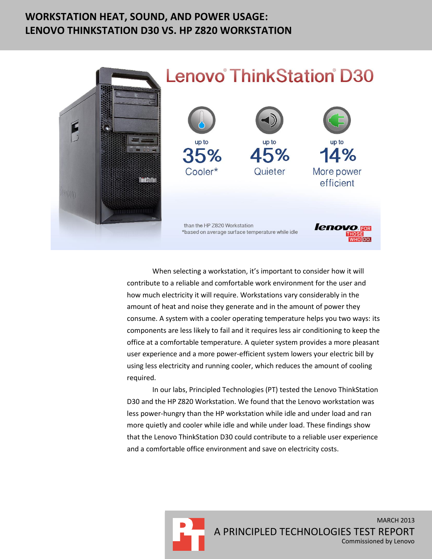# **WORKSTATION HEAT, SOUND, AND POWER USAGE: LENOVO THINKSTATION D30 VS. HP Z820 WORKSTATION**



# **Lenovo ThinkStation D30**



When selecting a workstation, it's important to consider how it will contribute to a reliable and comfortable work environment for the user and how much electricity it will require. Workstations vary considerably in the amount of heat and noise they generate and in the amount of power they consume. A system with a cooler operating temperature helps you two ways: its components are less likely to fail and it requires less air conditioning to keep the office at a comfortable temperature. A quieter system provides a more pleasant user experience and a more power-efficient system lowers your electric bill by using less electricity and running cooler, which reduces the amount of cooling required.

In our labs, Principled Technologies (PT) tested the Lenovo ThinkStation D30 and the HP Z820 Workstation. We found that the Lenovo workstation was less power-hungry than the HP workstation while idle and under load and ran more quietly and cooler while idle and while under load. These findings show that the Lenovo ThinkStation D30 could contribute to a reliable user experience and a comfortable office environment and save on electricity costs.

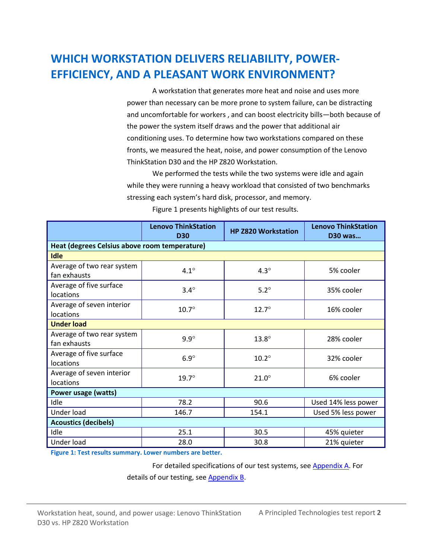# **WHICH WORKSTATION DELIVERS RELIABILITY, POWER-EFFICIENCY, AND A PLEASANT WORK ENVIRONMENT?**

A workstation that generates more heat and noise and uses more power than necessary can be more prone to system failure, can be distracting and uncomfortable for workers , and can boost electricity bills—both because of the power the system itself draws and the power that additional air conditioning uses. To determine how two workstations compared on these fronts, we measured the heat, noise, and power consumption of the Lenovo ThinkStation D30 and the HP Z820 Workstation.

We performed the tests while the two systems were idle and again while they were running a heavy workload that consisted of two benchmarks stressing each system's hard disk, processor, and memory.

|                                               | <b>Lenovo ThinkStation</b><br><b>D30</b> | <b>HP Z820 Workstation</b> | <b>Lenovo ThinkStation</b><br><b>D30 was</b> |  |  |
|-----------------------------------------------|------------------------------------------|----------------------------|----------------------------------------------|--|--|
| Heat (degrees Celsius above room temperature) |                                          |                            |                                              |  |  |
| <b>Idle</b>                                   |                                          |                            |                                              |  |  |
| Average of two rear system                    | $4.1^\circ$                              | $4.3^\circ$                | 5% cooler                                    |  |  |
| fan exhausts                                  |                                          |                            |                                              |  |  |
| Average of five surface                       | $3.4^\circ$                              | $5.2^\circ$                | 35% cooler                                   |  |  |
| locations                                     |                                          |                            |                                              |  |  |
| Average of seven interior                     | $10.7^\circ$                             | $12.7^\circ$               | 16% cooler                                   |  |  |
| locations                                     |                                          |                            |                                              |  |  |
| <b>Under load</b>                             |                                          |                            |                                              |  |  |
| Average of two rear system                    | $9.9^\circ$                              | $13.8^\circ$               | 28% cooler                                   |  |  |
| fan exhausts                                  |                                          |                            |                                              |  |  |
| Average of five surface                       | $6.9^\circ$                              | $10.2^\circ$               | 32% cooler                                   |  |  |
| locations                                     |                                          |                            |                                              |  |  |
| Average of seven interior                     | $19.7^\circ$                             | $21.0^\circ$               | 6% cooler                                    |  |  |
| locations                                     |                                          |                            |                                              |  |  |
| Power usage (watts)                           |                                          |                            |                                              |  |  |
| Idle                                          | 78.2                                     | 90.6                       | Used 14% less power                          |  |  |
| Under load                                    | 146.7                                    | 154.1                      | Used 5% less power                           |  |  |
| <b>Acoustics (decibels)</b>                   |                                          |                            |                                              |  |  |
| Idle                                          | 25.1                                     | 30.5                       | 45% quieter                                  |  |  |
| Under load                                    | 28.0                                     | 30.8                       | 21% quieter                                  |  |  |

Figure 1 presents highlights of our test results.

**Figure 1: Test results summary. Lower numbers are better.**

For detailed specifications of our test systems, see [Appendix A.](#page-5-0) For

details of our testing, see [Appendix B.](#page-5-1)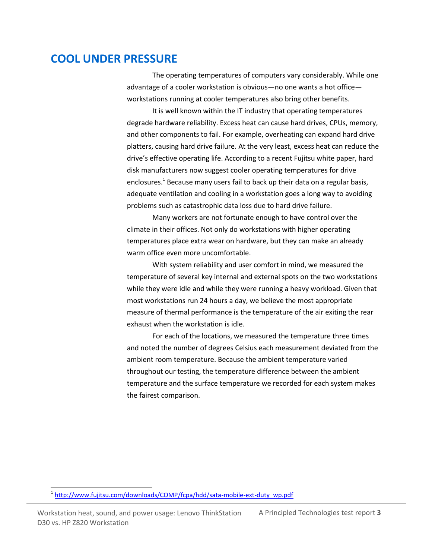### **COOL UNDER PRESSURE**

The operating temperatures of computers vary considerably. While one advantage of a cooler workstation is obvious—no one wants a hot office workstations running at cooler temperatures also bring other benefits.

It is well known within the IT industry that operating temperatures degrade hardware reliability. Excess heat can cause hard drives, CPUs, memory, and other components to fail. For example, overheating can expand hard drive platters, causing hard drive failure. At the very least, excess heat can reduce the drive's effective operating life. According to a recent Fujitsu white paper, hard disk manufacturers now suggest cooler operating temperatures for drive enclosures.<sup>1</sup> Because many users fail to back up their data on a regular basis, adequate ventilation and cooling in a workstation goes a long way to avoiding problems such as catastrophic data loss due to hard drive failure.

Many workers are not fortunate enough to have control over the climate in their offices. Not only do workstations with higher operating temperatures place extra wear on hardware, but they can make an already warm office even more uncomfortable.

With system reliability and user comfort in mind, we measured the temperature of several key internal and external spots on the two workstations while they were idle and while they were running a heavy workload. Given that most workstations run 24 hours a day, we believe the most appropriate measure of thermal performance is the temperature of the air exiting the rear exhaust when the workstation is idle.

For each of the locations, we measured the temperature three times and noted the number of degrees Celsius each measurement deviated from the ambient room temperature. Because the ambient temperature varied throughout our testing, the temperature difference between the ambient temperature and the surface temperature we recorded for each system makes the fairest comparison.

Workstation heat, sound, and power usage: Lenovo ThinkStation A Principled Technologies test report **3** D30 vs. HP Z820 Workstation

 $\overline{a}$ 

<sup>&</sup>lt;sup>1</sup> [http://www.fujitsu.com/downloads/COMP/fcpa/hdd/sata-mobile-ext-duty\\_wp.pdf](http://www.fujitsu.com/downloads/COMP/fcpa/hdd/sata-mobile-ext-duty_wp.pdf)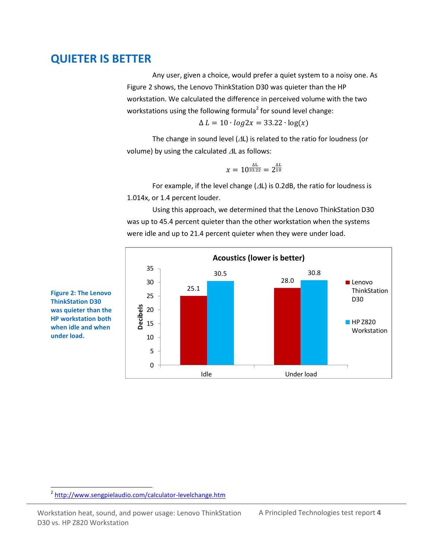### **QUIETER IS BETTER**

Any user, given a choice, would prefer a quiet system to a noisy one. As Figure 2 shows, the Lenovo ThinkStation D30 was quieter than the HP workstation. We calculated the difference in perceived volume with the two workstations using the following formula<sup>2</sup> for sound level change:

 $\Delta L = 10 \cdot log2x = 33.22 \cdot log(x)$ 

The change in sound level  $(\Delta L)$  is related to the ratio for loudness (or volume) by using the calculated  $\Delta L$  as follows:

$$
x = 10^{\frac{\Delta L}{33.22}} = 2^{\frac{\Delta L}{10}}
$$

For example, if the level change ( $\Delta L$ ) is 0.2dB, the ratio for loudness is 1.014x, or 1.4 percent louder.

Using this approach, we determined that the Lenovo ThinkStation D30 was up to 45.4 percent quieter than the other workstation when the systems were idle and up to 21.4 percent quieter when they were under load.



**Figure 2: The Lenovo ThinkStation D30 was quieter than the HP workstation both when idle and when under load.**

 $\overline{a}$ 

Workstation heat, sound, and power usage: Lenovo ThinkStation A Principled Technologies test report 4 D30 vs. HP Z820 Workstation

<sup>&</sup>lt;sup>2</sup> <http://www.sengpielaudio.com/calculator-levelchange.htm>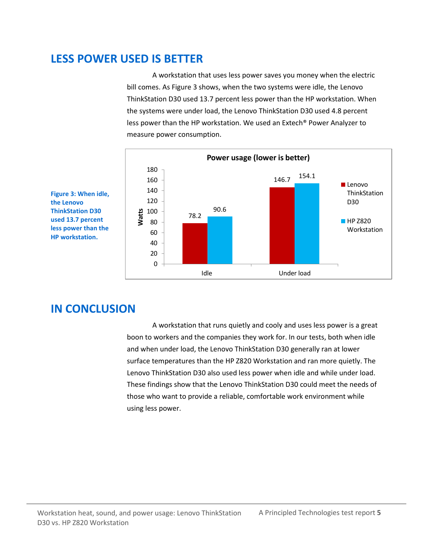# **LESS POWER USED IS BETTER**

A workstation that uses less power saves you money when the electric bill comes. As Figure 3 shows, when the two systems were idle, the Lenovo ThinkStation D30 used 13.7 percent less power than the HP workstation. When the systems were under load, the Lenovo ThinkStation D30 used 4.8 percent less power than the HP workstation. We used an Extech® Power Analyzer to measure power consumption.



**Figure 3: When idle, the Lenovo ThinkStation D30 used 13.7 percent less power than the HP workstation.**

# **IN CONCLUSION**

A workstation that runs quietly and cooly and uses less power is a great boon to workers and the companies they work for. In our tests, both when idle and when under load, the Lenovo ThinkStation D30 generally ran at lower surface temperatures than the HP Z820 Workstation and ran more quietly. The Lenovo ThinkStation D30 also used less power when idle and while under load. These findings show that the Lenovo ThinkStation D30 could meet the needs of those who want to provide a reliable, comfortable work environment while using less power.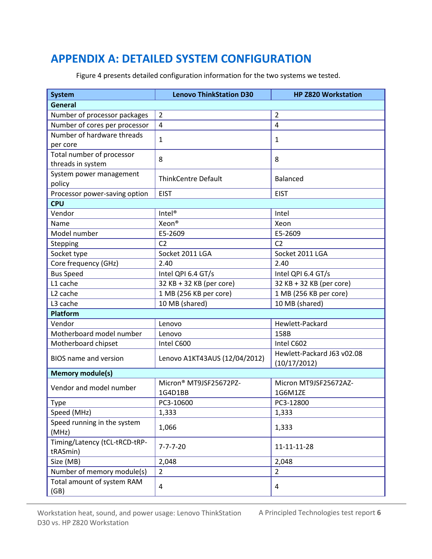# <span id="page-5-0"></span>**APPENDIX A: DETAILED SYSTEM CONFIGURATION**

<span id="page-5-1"></span>

| <b>System</b>                             | <b>Lenovo ThinkStation D30</b> | <b>HP Z820 Workstation</b> |
|-------------------------------------------|--------------------------------|----------------------------|
| <b>General</b>                            |                                |                            |
| Number of processor packages              | $\overline{2}$                 | $\overline{2}$             |
| Number of cores per processor             | $\overline{4}$                 | $\overline{4}$             |
| Number of hardware threads                |                                | 1                          |
| per core                                  | 1                              |                            |
| Total number of processor                 | 8                              | 8                          |
| threads in system                         |                                |                            |
| System power management                   | <b>ThinkCentre Default</b>     | <b>Balanced</b>            |
| policy                                    |                                |                            |
| Processor power-saving option             | <b>EIST</b>                    | <b>EIST</b>                |
| <b>CPU</b>                                |                                |                            |
| Vendor                                    | Intel <sup>®</sup>             | Intel                      |
| Name                                      | Xeon <sup>®</sup>              | Xeon                       |
| Model number                              | E5-2609                        | E5-2609                    |
| Stepping                                  | C <sub>2</sub>                 | C <sub>2</sub>             |
| Socket type                               | Socket 2011 LGA                | Socket 2011 LGA            |
| Core frequency (GHz)                      | 2.40                           | 2.40                       |
| <b>Bus Speed</b>                          | Intel QPI 6.4 GT/s             | Intel QPI 6.4 GT/s         |
| L1 cache                                  | 32 KB + 32 KB (per core)       | 32 KB + 32 KB (per core)   |
| L <sub>2</sub> cache                      | 1 MB (256 KB per core)         | 1 MB (256 KB per core)     |
| L3 cache                                  | 10 MB (shared)                 | 10 MB (shared)             |
| <b>Platform</b>                           |                                |                            |
| Vendor                                    | Lenovo                         | Hewlett-Packard            |
| Motherboard model number                  | Lenovo                         | 158B                       |
| Motherboard chipset                       | Intel C600                     | Intel C602                 |
| <b>BIOS</b> name and version              | Lenovo A1KT43AUS (12/04/2012)  | Hewlett-Packard J63 v02.08 |
|                                           |                                | (10/17/2012)               |
| <b>Memory module(s)</b>                   |                                |                            |
| Vendor and model number                   | Micron® MT9JSF25672PZ-         | Micron MT9JSF25672AZ-      |
|                                           | 1G4D1BB                        | 1G6M1ZE                    |
| Type                                      | PC3-10600                      | PC3-12800                  |
| Speed (MHz)                               | 1,333                          | 1,333                      |
| Speed running in the system<br>(MHz)      | 1,066                          | 1,333                      |
| Timing/Latency (tCL-tRCD-tRP-<br>tRASmin) | $7 - 7 - 7 - 20$               | 11-11-11-28                |
| Size (MB)                                 | 2,048                          | 2,048                      |
| Number of memory module(s)                | $\overline{2}$                 | $\overline{2}$             |
| Total amount of system RAM<br>(GB)        | 4                              | 4                          |

Figure 4 presents detailed configuration information for the two systems we tested.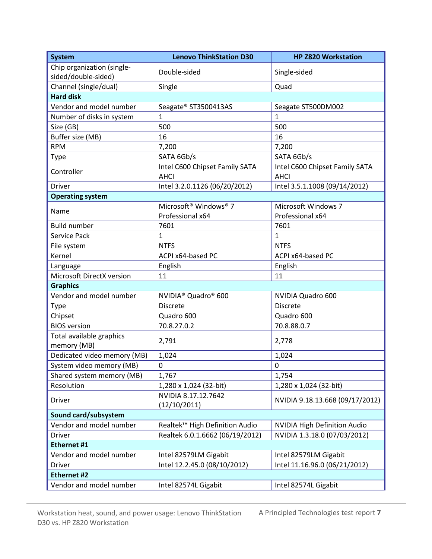| <b>System</b>                           | <b>Lenovo ThinkStation D30</b>                | <b>HP Z820 Workstation</b>                    |  |  |
|-----------------------------------------|-----------------------------------------------|-----------------------------------------------|--|--|
| Chip organization (single-              | Double-sided                                  | Single-sided                                  |  |  |
| sided/double-sided)                     |                                               |                                               |  |  |
| Channel (single/dual)                   | Single                                        | Quad                                          |  |  |
| <b>Hard disk</b>                        |                                               |                                               |  |  |
| Vendor and model number                 | Seagate® ST3500413AS                          | Seagate ST500DM002                            |  |  |
| Number of disks in system               | $\mathbf{1}$                                  | $\mathbf{1}$                                  |  |  |
| Size (GB)                               | 500                                           | 500                                           |  |  |
| Buffer size (MB)                        | 16                                            | 16                                            |  |  |
| <b>RPM</b>                              | 7,200                                         | 7,200                                         |  |  |
| <b>Type</b>                             | SATA 6Gb/s                                    | SATA 6Gb/s                                    |  |  |
| Controller                              | Intel C600 Chipset Family SATA<br><b>AHCI</b> | Intel C600 Chipset Family SATA<br><b>AHCI</b> |  |  |
| <b>Driver</b>                           | Intel 3.2.0.1126 (06/20/2012)                 | Intel 3.5.1.1008 (09/14/2012)                 |  |  |
| <b>Operating system</b>                 |                                               |                                               |  |  |
|                                         | Microsoft <sup>®</sup> Windows <sup>®</sup> 7 | <b>Microsoft Windows 7</b>                    |  |  |
| Name                                    | Professional x64                              | Professional x64                              |  |  |
| <b>Build number</b>                     | 7601                                          | 7601                                          |  |  |
| Service Pack                            | $\mathbf 1$                                   | $\mathbf{1}$                                  |  |  |
| File system                             | <b>NTFS</b>                                   | <b>NTFS</b>                                   |  |  |
| Kernel                                  | ACPI x64-based PC                             | ACPI x64-based PC                             |  |  |
| Language                                | English                                       | English                                       |  |  |
| Microsoft DirectX version               | 11                                            | 11                                            |  |  |
| <b>Graphics</b>                         |                                               |                                               |  |  |
| Vendor and model number                 | NVIDIA <sup>®</sup> Quadro <sup>®</sup> 600   | NVIDIA Quadro 600                             |  |  |
| <b>Type</b>                             | <b>Discrete</b>                               | <b>Discrete</b>                               |  |  |
| Chipset                                 | Quadro 600                                    | Quadro 600                                    |  |  |
| <b>BIOS</b> version                     | 70.8.27.0.2                                   | 70.8.88.0.7                                   |  |  |
| Total available graphics<br>memory (MB) | 2,791                                         | 2,778                                         |  |  |
| Dedicated video memory (MB)             | 1,024                                         | 1,024                                         |  |  |
| System video memory (MB)                | $\mathbf 0$                                   | $\mathbf 0$                                   |  |  |
| Shared system memory (MB)               | 1,767                                         | 1,754                                         |  |  |
| Resolution                              | 1,280 x 1,024 (32-bit)                        | 1,280 x 1,024 (32-bit)                        |  |  |
| <b>Driver</b>                           | NVIDIA 8.17.12.7642<br>(12/10/2011)           | NVIDIA 9.18.13.668 (09/17/2012)               |  |  |
| Sound card/subsystem                    |                                               |                                               |  |  |
| Vendor and model number                 | Realtek™ High Definition Audio                | <b>NVIDIA High Definition Audio</b>           |  |  |
| <b>Driver</b>                           | Realtek 6.0.1.6662 (06/19/2012)               | NVIDIA 1.3.18.0 (07/03/2012)                  |  |  |
| Ethernet #1                             |                                               |                                               |  |  |
| Vendor and model number                 | Intel 82579LM Gigabit                         | Intel 82579LM Gigabit                         |  |  |
| <b>Driver</b>                           | Intel 12.2.45.0 (08/10/2012)                  | Intel 11.16.96.0 (06/21/2012)                 |  |  |
| <b>Ethernet #2</b>                      |                                               |                                               |  |  |
| Vendor and model number                 | Intel 82574L Gigabit                          | Intel 82574L Gigabit                          |  |  |
|                                         |                                               |                                               |  |  |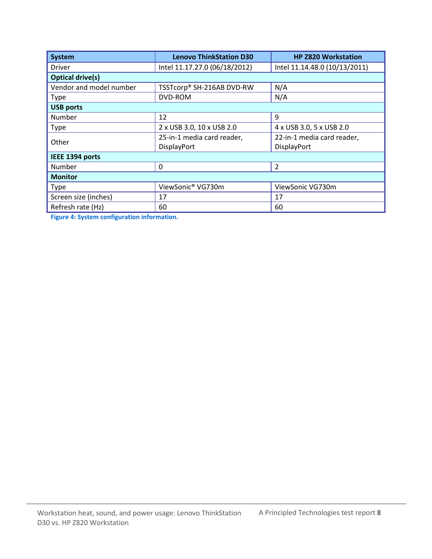| <b>System</b>           | <b>Lenovo ThinkStation D30</b> | <b>HP Z820 Workstation</b>    |  |  |
|-------------------------|--------------------------------|-------------------------------|--|--|
| <b>Driver</b>           | Intel 11.17.27.0 (06/18/2012)  | Intel 11.14.48.0 (10/13/2011) |  |  |
| <b>Optical drive(s)</b> |                                |                               |  |  |
| Vendor and model number | TSSTcorp® SH-216AB DVD-RW      | N/A                           |  |  |
| <b>Type</b>             | DVD-ROM                        | N/A                           |  |  |
| <b>USB ports</b>        |                                |                               |  |  |
| Number                  | 12                             | 9                             |  |  |
| <b>Type</b>             | 2 x USB 3.0, 10 x USB 2.0      | 4 x USB 3.0, 5 x USB 2.0      |  |  |
| Other                   | 25-in-1 media card reader,     | 22-in-1 media card reader,    |  |  |
|                         | DisplayPort                    | DisplayPort                   |  |  |
| IEEE 1394 ports         |                                |                               |  |  |
| Number                  | 0                              | $\overline{2}$                |  |  |
| <b>Monitor</b>          |                                |                               |  |  |
| <b>Type</b>             | ViewSonic® VG730m              | ViewSonic VG730m              |  |  |
| Screen size (inches)    | 17                             | 17                            |  |  |
| Refresh rate (Hz)       | 60                             | 60                            |  |  |

**Figure 4: System configuration information.**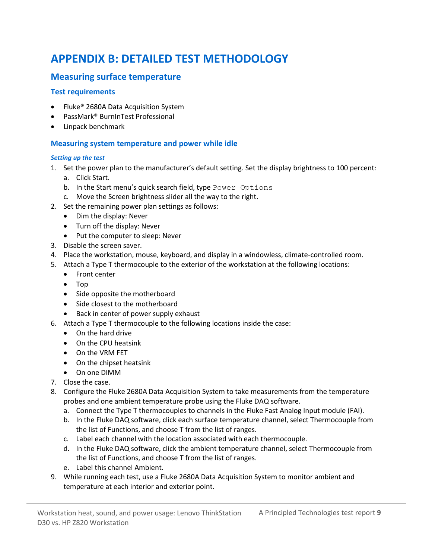# **APPENDIX B: DETAILED TEST METHODOLOGY**

### **Measuring surface temperature**

#### **Test requirements**

- Fluke<sup>®</sup> 2680A Data Acquisition System
- PassMark® BurnInTest Professional
- Linpack benchmark

#### **Measuring system temperature and power while idle**

#### *Setting up the test*

- 1. Set the power plan to the manufacturer's default setting. Set the display brightness to 100 percent:
	- a. Click Start.
	- b. In the Start menu's quick search field, type Power Options
	- c. Move the Screen brightness slider all the way to the right.
- 2. Set the remaining power plan settings as follows:
	- Dim the display: Never
	- Turn off the display: Never
	- Put the computer to sleep: Never
- 3. Disable the screen saver.
- 4. Place the workstation, mouse, keyboard, and display in a windowless, climate-controlled room.
- 5. Attach a Type T thermocouple to the exterior of the workstation at the following locations:
	- Front center
	- Top
	- Side opposite the motherboard
	- Side closest to the motherboard
	- Back in center of power supply exhaust
- 6. Attach a Type T thermocouple to the following locations inside the case:
	- On the hard drive
	- On the CPU heatsink
	- On the VRM FET
	- On the chipset heatsink
	- On one DIMM
- 7. Close the case.
- 8. Configure the Fluke 2680A Data Acquisition System to take measurements from the temperature probes and one ambient temperature probe using the Fluke DAQ software.
	- a. Connect the Type T thermocouples to channels in the Fluke Fast Analog Input module (FAI).
	- b. In the Fluke DAQ software, click each surface temperature channel, select Thermocouple from the list of Functions, and choose T from the list of ranges.
	- c. Label each channel with the location associated with each thermocouple.
	- d. In the Fluke DAQ software, click the ambient temperature channel, select Thermocouple from the list of Functions, and choose T from the list of ranges.
	- e. Label this channel Ambient.
- 9. While running each test, use a Fluke 2680A Data Acquisition System to monitor ambient and temperature at each interior and exterior point.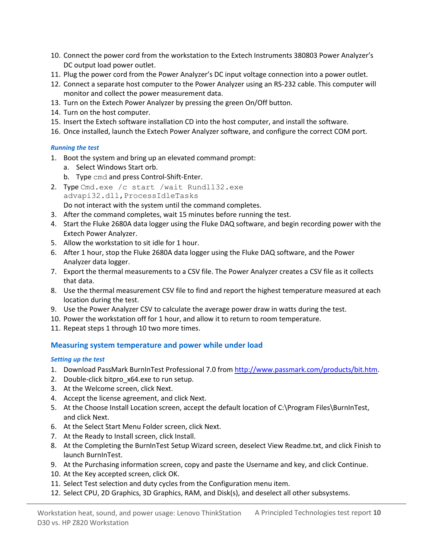- 10. Connect the power cord from the workstation to the Extech Instruments 380803 Power Analyzer's DC output load power outlet.
- 11. Plug the power cord from the Power Analyzer's DC input voltage connection into a power outlet.
- 12. Connect a separate host computer to the Power Analyzer using an RS-232 cable. This computer will monitor and collect the power measurement data.
- 13. Turn on the Extech Power Analyzer by pressing the green On/Off button.
- 14. Turn on the host computer.
- 15. Insert the Extech software installation CD into the host computer, and install the software.
- 16. Once installed, launch the Extech Power Analyzer software, and configure the correct COM port.

#### *Running the test*

- 1. Boot the system and bring up an elevated command prompt:
	- a. Select Windows Start orb.
	- b. Type cmd and press Control-Shift-Enter.
- 2. Type Cmd.exe /c start /wait Rundll32.exe advapi32.dll,ProcessIdleTasks

Do not interact with the system until the command completes.

- 3. After the command completes, wait 15 minutes before running the test.
- 4. Start the Fluke 2680A data logger using the Fluke DAQ software, and begin recording power with the Extech Power Analyzer.
- 5. Allow the workstation to sit idle for 1 hour.
- 6. After 1 hour, stop the Fluke 2680A data logger using the Fluke DAQ software, and the Power Analyzer data logger.
- 7. Export the thermal measurements to a CSV file. The Power Analyzer creates a CSV file as it collects that data.
- 8. Use the thermal measurement CSV file to find and report the highest temperature measured at each location during the test.
- 9. Use the Power Analyzer CSV to calculate the average power draw in watts during the test.
- 10. Power the workstation off for 1 hour, and allow it to return to room temperature.
- 11. Repeat steps 1 through 10 two more times.

#### **Measuring system temperature and power while under load**

#### *Setting up the test*

- 1. Download PassMark BurnInTest Professional 7.0 fro[m http://www.passmark.com/products/bit.htm.](http://www.passmark.com/products/bit.htm)
- 2. Double-click bitpro\_x64.exe to run setup.
- 3. At the Welcome screen, click Next.
- 4. Accept the license agreement, and click Next.
- 5. At the Choose Install Location screen, accept the default location of C:\Program Files\BurnInTest, and click Next.
- 6. At the Select Start Menu Folder screen, click Next.
- 7. At the Ready to Install screen, click Install.
- 8. At the Completing the BurnInTest Setup Wizard screen, deselect View Readme.txt, and click Finish to launch BurnInTest.
- 9. At the Purchasing information screen, copy and paste the Username and key, and click Continue.
- 10. At the Key accepted screen, click OK.
- 11. Select Test selection and duty cycles from the Configuration menu item.
- 12. Select CPU, 2D Graphics, 3D Graphics, RAM, and Disk(s), and deselect all other subsystems.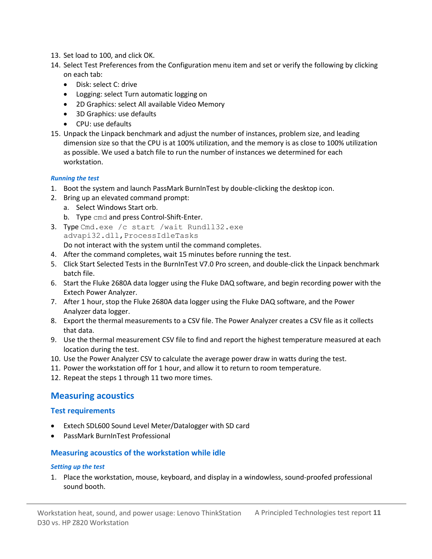- 13. Set load to 100, and click OK.
- 14. Select Test Preferences from the Configuration menu item and set or verify the following by clicking on each tab:
	- Disk: select C: drive
	- Logging: select Turn automatic logging on
	- 2D Graphics: select All available Video Memory
	- 3D Graphics: use defaults
	- CPU: use defaults
- 15. Unpack the Linpack benchmark and adjust the number of instances, problem size, and leading dimension size so that the CPU is at 100% utilization, and the memory is as close to 100% utilization as possible. We used a batch file to run the number of instances we determined for each workstation.

#### *Running the test*

- 1. Boot the system and launch PassMark BurnInTest by double-clicking the desktop icon.
- 2. Bring up an elevated command prompt:
	- a. Select Windows Start orb.
	- b. Type cmd and press Control-Shift-Enter.
- 3. Type Cmd.exe /c start /wait Rundll32.exe advapi32.dll,ProcessIdleTasks Do not interact with the system until the command completes.
- 4. After the command completes, wait 15 minutes before running the test.
- 5. Click Start Selected Tests in the BurnInTest V7.0 Pro screen, and double-click the Linpack benchmark batch file.
- 6. Start the Fluke 2680A data logger using the Fluke DAQ software, and begin recording power with the Extech Power Analyzer.
- 7. After 1 hour, stop the Fluke 2680A data logger using the Fluke DAQ software, and the Power Analyzer data logger.
- 8. Export the thermal measurements to a CSV file. The Power Analyzer creates a CSV file as it collects that data.
- 9. Use the thermal measurement CSV file to find and report the highest temperature measured at each location during the test.
- 10. Use the Power Analyzer CSV to calculate the average power draw in watts during the test.
- 11. Power the workstation off for 1 hour, and allow it to return to room temperature.
- 12. Repeat the steps 1 through 11 two more times.

#### **Measuring acoustics**

#### **Test requirements**

- Extech SDL600 Sound Level Meter/Datalogger with SD card
- PassMark BurnInTest Professional

#### **Measuring acoustics of the workstation while idle**

#### *Setting up the test*

1. Place the workstation, mouse, keyboard, and display in a windowless, sound-proofed professional sound booth.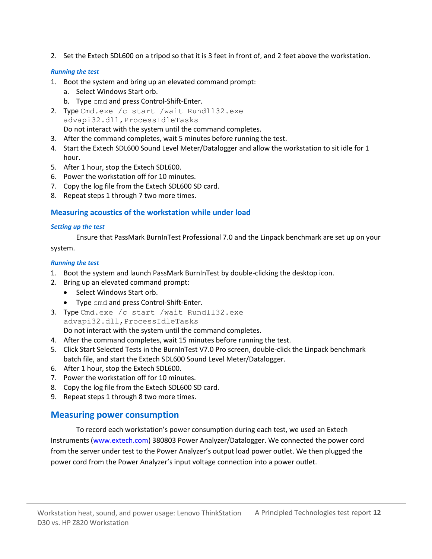2. Set the Extech SDL600 on a tripod so that it is 3 feet in front of, and 2 feet above the workstation.

#### *Running the test*

- 1. Boot the system and bring up an elevated command prompt:
	- a. Select Windows Start orb.
	- b. Type cmd and press Control-Shift-Enter.
- 2. Type Cmd.exe /c start /wait Rundll32.exe advapi32.dll,ProcessIdleTasks Do not interact with the system until the command completes.
- 3. After the command completes, wait 5 minutes before running the test.
- 4. Start the Extech SDL600 Sound Level Meter/Datalogger and allow the workstation to sit idle for 1 hour.
- 5. After 1 hour, stop the Extech SDL600.
- 6. Power the workstation off for 10 minutes.
- 7. Copy the log file from the Extech SDL600 SD card.
- 8. Repeat steps 1 through 7 two more times.

#### **Measuring acoustics of the workstation while under load**

#### *Setting up the test*

Ensure that PassMark BurnInTest Professional 7.0 and the Linpack benchmark are set up on your system.

#### *Running the test*

- 1. Boot the system and launch PassMark BurnInTest by double-clicking the desktop icon.
- 2. Bring up an elevated command prompt:
	- Select Windows Start orb.
	- Type cmd and press Control-Shift-Enter.
- 3. Type Cmd.exe /c start /wait Rundll32.exe advapi32.dll,ProcessIdleTasks Do not interact with the system until the command completes.
- 4. After the command completes, wait 15 minutes before running the test.
- 5. Click Start Selected Tests in the BurnInTest V7.0 Pro screen, double-click the Linpack benchmark batch file, and start the Extech SDL600 Sound Level Meter/Datalogger.
- 6. After 1 hour, stop the Extech SDL600.
- 7. Power the workstation off for 10 minutes.
- 8. Copy the log file from the Extech SDL600 SD card.
- 9. Repeat steps 1 through 8 two more times.

#### **Measuring power consumption**

To record each workstation's power consumption during each test, we used an Extech Instruments [\(www.extech.com\)](http://www.extech.com/) 380803 Power Analyzer/Datalogger. We connected the power cord from the server under test to the Power Analyzer's output load power outlet. We then plugged the power cord from the Power Analyzer's input voltage connection into a power outlet.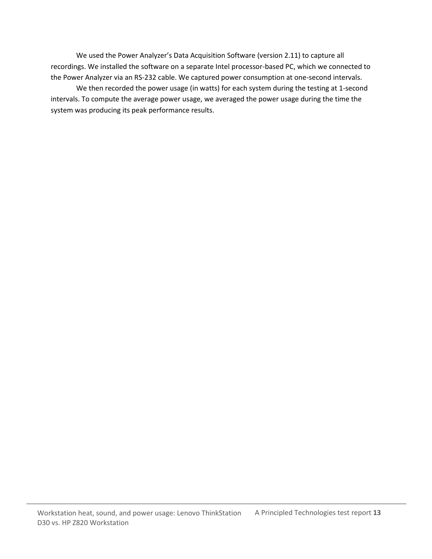We used the Power Analyzer's Data Acquisition Software (version 2.11) to capture all recordings. We installed the software on a separate Intel processor-based PC, which we connected to the Power Analyzer via an RS-232 cable. We captured power consumption at one-second intervals.

We then recorded the power usage (in watts) for each system during the testing at 1-second intervals. To compute the average power usage, we averaged the power usage during the time the system was producing its peak performance results.